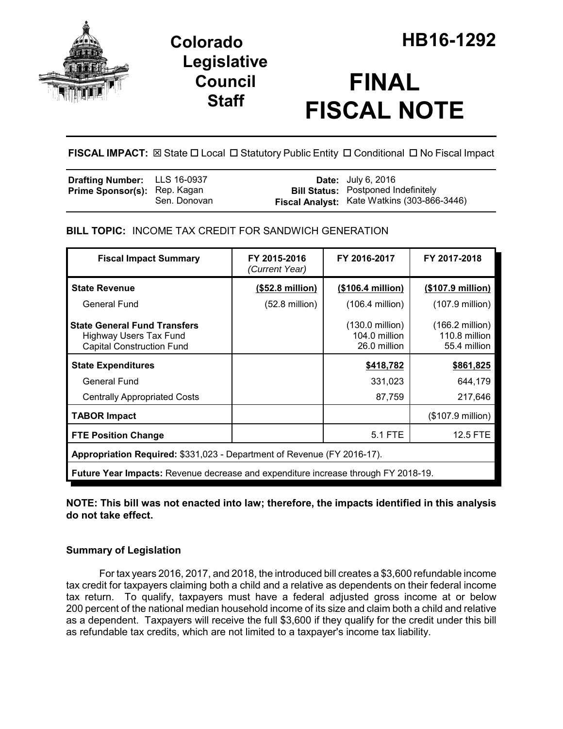

## **Legislative Council Staff**

# **FINAL FISCAL NOTE**

**FISCAL IMPACT:**  $\boxtimes$  **State □ Local □ Statutory Public Entity □ Conditional □ No Fiscal Impact** 

| <b>Drafting Number:</b> LLS 16-0937                 | <b>Date:</b> July 6, 2016                          |  |
|-----------------------------------------------------|----------------------------------------------------|--|
| <b>Prime Sponsor(s): Rep. Kagan</b><br>Sen. Donovan | <b>Bill Status: Postponed Indefinitely</b>         |  |
|                                                     | <b>Fiscal Analyst:</b> Kate Watkins (303-866-3446) |  |

**BILL TOPIC:** INCOME TAX CREDIT FOR SANDWICH GENERATION

| <b>Fiscal Impact Summary</b>                                                                             | FY 2015-2016<br>(Current Year) | FY 2016-2017                                               | FY 2017-2018                                               |
|----------------------------------------------------------------------------------------------------------|--------------------------------|------------------------------------------------------------|------------------------------------------------------------|
| <b>State Revenue</b>                                                                                     | (\$52.8 million)               | (\$106.4 million)                                          | (\$107.9 million)                                          |
| General Fund                                                                                             | $(52.8 \text{ million})$       | $(106.4$ million)                                          | $(107.9$ million)                                          |
| <b>State General Fund Transfers</b><br><b>Highway Users Tax Fund</b><br><b>Capital Construction Fund</b> |                                | $(130.0 \text{ million})$<br>104.0 million<br>26.0 million | $(166.2 \text{ million})$<br>110.8 million<br>55.4 million |
| <b>State Expenditures</b>                                                                                |                                | \$418,782                                                  | \$861,825                                                  |
| General Fund                                                                                             |                                | 331,023                                                    | 644,179                                                    |
| <b>Centrally Appropriated Costs</b>                                                                      |                                | 87,759                                                     | 217,646                                                    |
| <b>TABOR Impact</b>                                                                                      |                                |                                                            | $($107.9 \text{ million})$                                 |
| <b>FTE Position Change</b>                                                                               |                                | 5.1 FTE                                                    | <b>12.5 FTE</b>                                            |
| Appropriation Required: \$331,023 - Department of Revenue (FY 2016-17).                                  |                                |                                                            |                                                            |
| <b>Future Year Impacts:</b> Revenue decrease and expenditure increase through FY 2018-19.                |                                |                                                            |                                                            |

**NOTE: This bill was not enacted into law; therefore, the impacts identified in this analysis do not take effect.**

### **Summary of Legislation**

For tax years 2016, 2017, and 2018, the introduced bill creates a \$3,600 refundable income tax credit for taxpayers claiming both a child and a relative as dependents on their federal income tax return. To qualify, taxpayers must have a federal adjusted gross income at or below 200 percent of the national median household income of its size and claim both a child and relative as a dependent. Taxpayers will receive the full \$3,600 if they qualify for the credit under this bill as refundable tax credits, which are not limited to a taxpayer's income tax liability.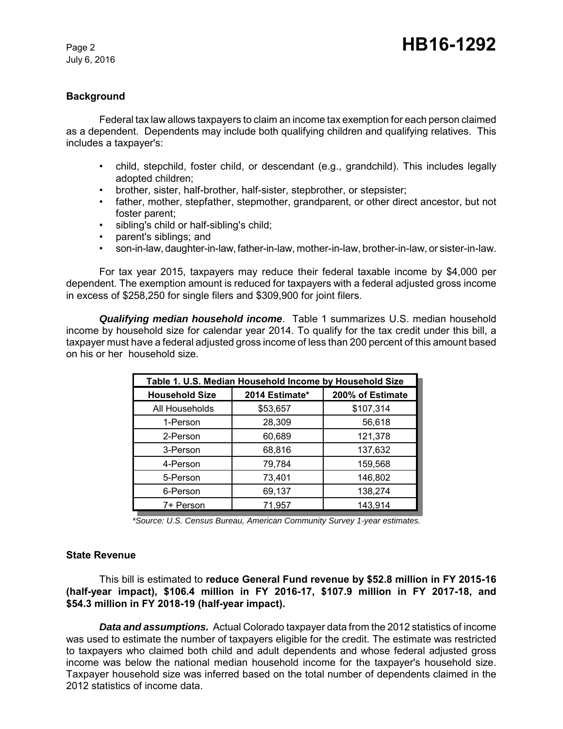July 6, 2016

#### **Background**

Federal tax law allows taxpayers to claim an income tax exemption for each person claimed as a dependent. Dependents may include both qualifying children and qualifying relatives. This includes a taxpayer's:

- child, stepchild, foster child, or descendant (e.g., grandchild). This includes legally adopted children;
- brother, sister, half-brother, half-sister, stepbrother, or stepsister;
- father, mother, stepfather, stepmother, grandparent, or other direct ancestor, but not foster parent;
- sibling's child or half-sibling's child;
- parent's siblings; and
- son-in-law, daughter-in-law, father-in-law, mother-in-law, brother-in-law, or sister-in-law.

For tax year 2015, taxpayers may reduce their federal taxable income by \$4,000 per dependent. The exemption amount is reduced for taxpayers with a federal adjusted gross income in excess of \$258,250 for single filers and \$309,900 for joint filers.

*Qualifying median household income*. Table 1 summarizes U.S. median household income by household size for calendar year 2014. To qualify for the tax credit under this bill, a taxpayer must have a federal adjusted gross income of less than 200 percent of this amount based on his or her household size.

| Table 1. U.S. Median Household Income by Household Size |                |                  |  |
|---------------------------------------------------------|----------------|------------------|--|
| <b>Household Size</b>                                   | 2014 Estimate* | 200% of Estimate |  |
| All Households                                          | \$53,657       | \$107,314        |  |
| 1-Person                                                | 28,309         | 56,618           |  |
| 2-Person                                                | 60,689         | 121,378          |  |
| 3-Person                                                | 68,816         | 137,632          |  |
| 4-Person                                                | 79,784         | 159,568          |  |
| 5-Person                                                | 73,401         | 146,802          |  |
| 6-Person                                                | 69,137         | 138,274          |  |
| 7+ Person                                               | 71,957         | 143,914          |  |

*\*Source: U.S. Census Bureau, American Community Survey 1-year estimates.*

#### **State Revenue**

This bill is estimated to **reduce General Fund revenue by \$52.8 million in FY 2015-16 (half-year impact), \$106.4 million in FY 2016-17, \$107.9 million in FY 2017-18, and \$54.3 million in FY 2018-19 (half-year impact).**

*Data and assumptions.* Actual Colorado taxpayer data from the 2012 statistics of income was used to estimate the number of taxpayers eligible for the credit. The estimate was restricted to taxpayers who claimed both child and adult dependents and whose federal adjusted gross income was below the national median household income for the taxpayer's household size. Taxpayer household size was inferred based on the total number of dependents claimed in the 2012 statistics of income data.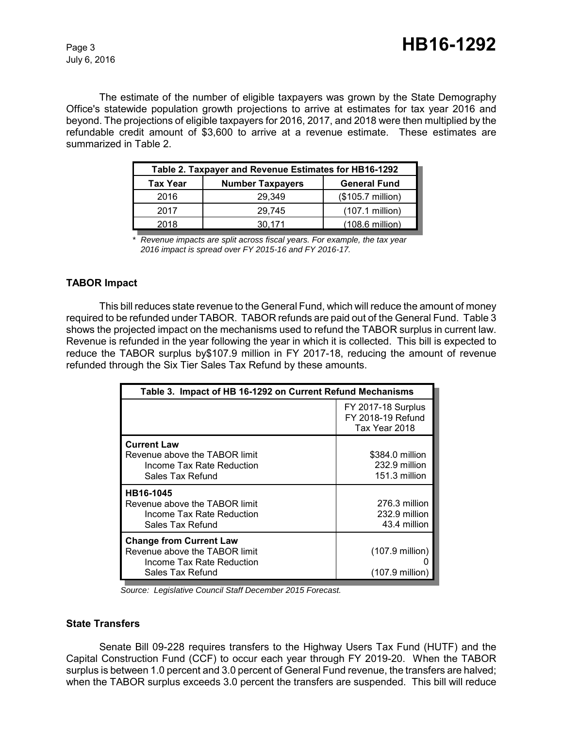The estimate of the number of eligible taxpayers was grown by the State Demography Office's statewide population growth projections to arrive at estimates for tax year 2016 and beyond. The projections of eligible taxpayers for 2016, 2017, and 2018 were then multiplied by the refundable credit amount of \$3,600 to arrive at a revenue estimate. These estimates are summarized in Table 2.

| Table 2. Taxpayer and Revenue Estimates for HB16-1292 |                         |                            |  |
|-------------------------------------------------------|-------------------------|----------------------------|--|
| Tax Year                                              | <b>Number Taxpayers</b> | <b>General Fund</b>        |  |
| 2016                                                  | 29.349                  | $($105.7 \text{ million})$ |  |
| 2017                                                  | 29.745                  | $(107.1$ million)          |  |
| 2018                                                  | 30.171                  | $(108.6 \text{ million})$  |  |

*<sup>\*</sup> Revenue impacts are split across fiscal years. For example, the tax year 2016 impact is spread over FY 2015-16 and FY 2016-17.*

#### **TABOR Impact**

This bill reduces state revenue to the General Fund, which will reduce the amount of money required to be refunded under TABOR. TABOR refunds are paid out of the General Fund. Table 3 shows the projected impact on the mechanisms used to refund the TABOR surplus in current law. Revenue is refunded in the year following the year in which it is collected. This bill is expected to reduce the TABOR surplus by\$107.9 million in FY 2017-18, reducing the amount of revenue refunded through the Six Tier Sales Tax Refund by these amounts.

| Table 3. Impact of HB 16-1292 on Current Refund Mechanisms                                                       |                                                                 |  |
|------------------------------------------------------------------------------------------------------------------|-----------------------------------------------------------------|--|
|                                                                                                                  | <b>FY 2017-18 Surplus</b><br>FY 2018-19 Refund<br>Tax Year 2018 |  |
| <b>Current Law</b><br>Revenue above the TABOR limit<br>Income Tax Rate Reduction<br>Sales Tax Refund             | \$384.0 million<br>232.9 million<br>151.3 million               |  |
| HB16-1045<br>Revenue above the TABOR limit<br>Income Tax Rate Reduction<br>Sales Tax Refund                      | 276.3 million<br>232.9 million<br>43.4 million                  |  |
| <b>Change from Current Law</b><br>Revenue above the TABOR limit<br>Income Tax Rate Reduction<br>Sales Tax Refund | $(107.9$ million)<br>$(107.9 \text{ million})$                  |  |

 *Source: Legislative Council Staff December 2015 Forecast.*

#### **State Transfers**

Senate Bill 09-228 requires transfers to the Highway Users Tax Fund (HUTF) and the Capital Construction Fund (CCF) to occur each year through FY 2019-20. When the TABOR surplus is between 1.0 percent and 3.0 percent of General Fund revenue, the transfers are halved; when the TABOR surplus exceeds 3.0 percent the transfers are suspended. This bill will reduce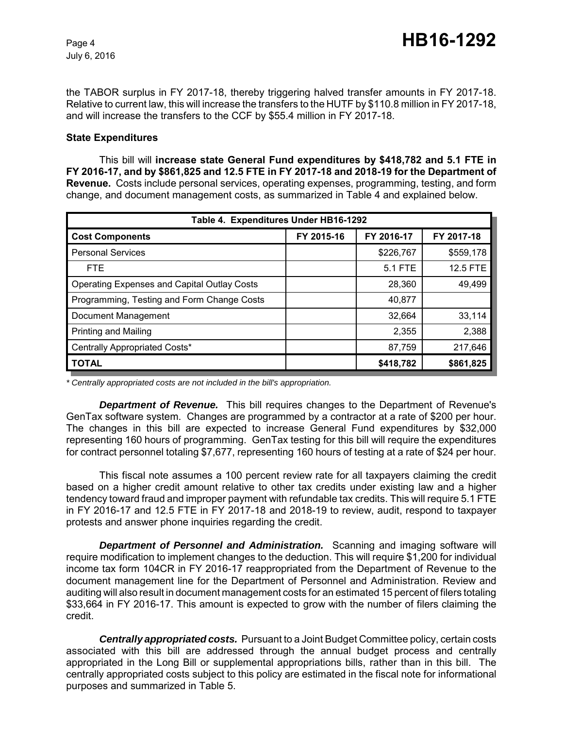the TABOR surplus in FY 2017-18, thereby triggering halved transfer amounts in FY 2017-18. Relative to current law, this will increase the transfers to the HUTF by \$110.8 million in FY 2017-18, and will increase the transfers to the CCF by \$55.4 million in FY 2017-18.

#### **State Expenditures**

This bill will **increase state General Fund expenditures by \$418,782 and 5.1 FTE in FY 2016-17, and by \$861,825 and 12.5 FTE in FY 2017-18 and 2018-19 for the Department of Revenue.** Costs include personal services, operating expenses, programming, testing, and form change, and document management costs, as summarized in Table 4 and explained below.

| Table 4. Expenditures Under HB16-1292       |            |            |            |
|---------------------------------------------|------------|------------|------------|
| <b>Cost Components</b>                      | FY 2015-16 | FY 2016-17 | FY 2017-18 |
| <b>Personal Services</b>                    |            | \$226,767  | \$559,178  |
| <b>FTE</b>                                  |            | 5.1 FTE    | 12.5 FTE   |
| Operating Expenses and Capital Outlay Costs |            | 28,360     | 49,499     |
| Programming, Testing and Form Change Costs  |            | 40,877     |            |
| Document Management                         |            | 32,664     | 33,114     |
| <b>Printing and Mailing</b>                 |            | 2,355      | 2,388      |
| Centrally Appropriated Costs*               |            | 87,759     | 217,646    |
| <b>TOTAL</b>                                |            | \$418,782  | \$861,825  |

*\* Centrally appropriated costs are not included in the bill's appropriation.*

*Department of Revenue.* This bill requires changes to the Department of Revenue's GenTax software system. Changes are programmed by a contractor at a rate of \$200 per hour. The changes in this bill are expected to increase General Fund expenditures by \$32,000 representing 160 hours of programming. GenTax testing for this bill will require the expenditures for contract personnel totaling \$7,677, representing 160 hours of testing at a rate of \$24 per hour.

This fiscal note assumes a 100 percent review rate for all taxpayers claiming the credit based on a higher credit amount relative to other tax credits under existing law and a higher tendency toward fraud and improper payment with refundable tax credits. This will require 5.1 FTE in FY 2016-17 and 12.5 FTE in FY 2017-18 and 2018-19 to review, audit, respond to taxpayer protests and answer phone inquiries regarding the credit.

*Department of Personnel and Administration.* Scanning and imaging software will require modification to implement changes to the deduction. This will require \$1,200 for individual income tax form 104CR in FY 2016-17 reappropriated from the Department of Revenue to the document management line for the Department of Personnel and Administration. Review and auditing will also result in document management costs for an estimated 15 percent of filers totaling \$33,664 in FY 2016-17. This amount is expected to grow with the number of filers claiming the credit.

*Centrally appropriated costs.* Pursuant to a Joint Budget Committee policy, certain costs associated with this bill are addressed through the annual budget process and centrally appropriated in the Long Bill or supplemental appropriations bills, rather than in this bill. The centrally appropriated costs subject to this policy are estimated in the fiscal note for informational purposes and summarized in Table 5.